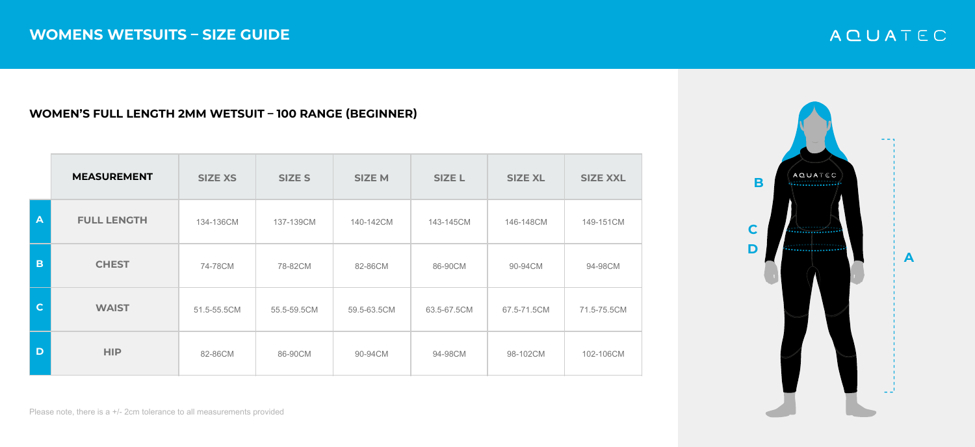### **WOMEN'S FULL LENGTH 2MM WETSUIT – 100 RANGE (BEGINNER)**

|              | <b>MEASUREMENT</b> | <b>SIZE XS</b> | <b>SIZE S</b> | <b>SIZE M</b> | <b>SIZE L</b> | <b>SIZE XL</b> | <b>SIZE XXL</b> |
|--------------|--------------------|----------------|---------------|---------------|---------------|----------------|-----------------|
| $\mathbf{A}$ | <b>FULL LENGTH</b> | 134-136CM      | 137-139CM     | 140-142CM     | 143-145CM     | 146-148CM      | 149-151CM       |
| B            | <b>CHEST</b>       | 74-78CM        | 78-82CM       | 82-86CM       | 86-90CM       | 90-94CM        | 94-98CM         |
| $\mathbf{C}$ | <b>WAIST</b>       | 51.5-55.5CM    | 55.5-59.5CM   | 59.5-63.5CM   | 63.5-67.5CM   | 67.5-71.5CM    | 71.5-75.5CM     |
| D            | <b>HIP</b>         | 82-86CM        | 86-90CM       | 90-94CM       | 94-98CM       | 98-102CM       | 102-106CM       |



# ACUATEC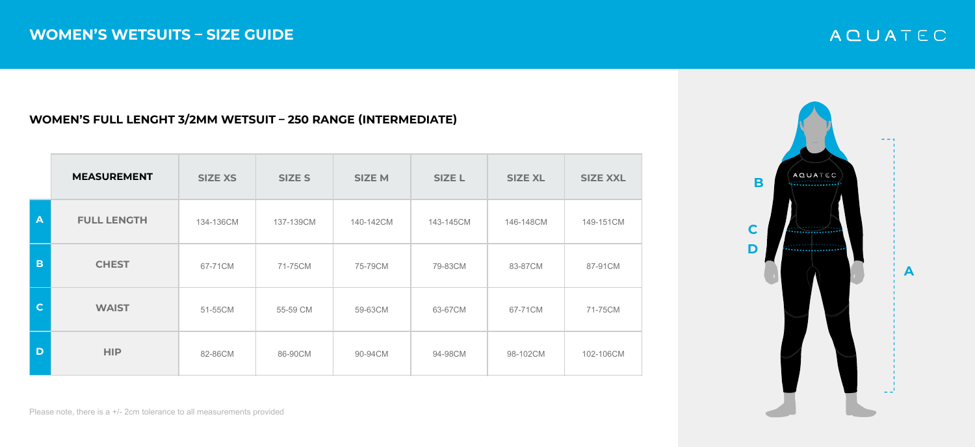### **WOMEN'S FULL LENGHT 3/2MM WETSUIT – 250 RANGE (INTERMEDIATE)**

|              | <b>MEASUREMENT</b> | <b>SIZE XS</b> | <b>SIZE S</b> | <b>SIZE M</b> | <b>SIZE L</b> | <b>SIZE XL</b> | <b>SIZE XXL</b> |
|--------------|--------------------|----------------|---------------|---------------|---------------|----------------|-----------------|
| $\mathbf{A}$ | <b>FULL LENGTH</b> | 134-136CM      | 137-139CM     | 140-142CM     | 143-145CM     | 146-148CM      | 149-151CM       |
| B            | <b>CHEST</b>       | 67-71CM        | 71-75CM       | 75-79CM       | 79-83CM       | 83-87CM        | 87-91CM         |
| $\mathbf C$  | <b>WAIST</b>       | 51-55CM        | 55-59 CM      | 59-63CM       | 63-67CM       | 67-71CM        | 71-75CM         |
| D            | <b>HIP</b>         | 82-86CM        | 86-90CM       | 90-94CM       | 94-98CM       | 98-102CM       | 102-106CM       |



# ACUATEC